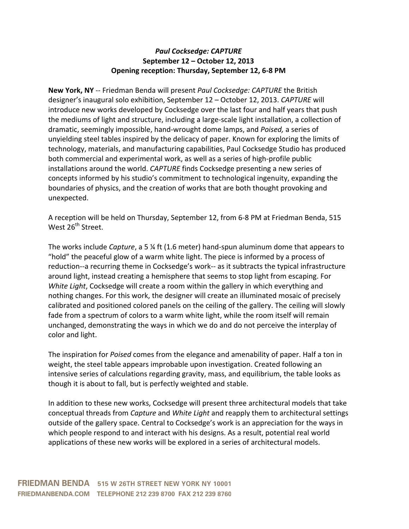## **Paul Cocksedge: CAPTURE** September 12 – October 12, 2013 Opening reception: Thursday, September 12, 6-8 PM

New York, NY -- Friedman Benda will present *Paul Cocksedge: CAPTURE* the British designer's inaugural solo exhibition, September 12 – October 12, 2013. *CAPTURE* will introduce new works developed by Cocksedge over the last four and half years that push the mediums of light and structure, including a large-scale light installation, a collection of dramatic, seemingly impossible, hand-wrought dome lamps, and *Poised*, a series of unyielding steel tables inspired by the delicacy of paper. Known for exploring the limits of technology, materials, and manufacturing capabilities, Paul Cocksedge Studio has produced both commercial and experimental work, as well as a series of high-profile public installations around the world. *CAPTURE* finds Cocksedge presenting a new series of concepts informed by his studio's commitment to technological ingenuity, expanding the boundaries of physics, and the creation of works that are both thought provoking and unexpected.

A reception will be held on Thursday, September 12, from 6-8 PM at Friedman Benda, 515 West 26<sup>th</sup> Street.

The works include *Capture*, a 5 % ft (1.6 meter) hand-spun aluminum dome that appears to "hold" the peaceful glow of a warm white light. The piece is informed by a process of reduction--a recurring theme in Cocksedge's work-- as it subtracts the typical infrastructure around light, instead creating a hemisphere that seems to stop light from escaping. For *White Light*, Cocksedge will create a room within the gallery in which everything and nothing changes. For this work, the designer will create an illuminated mosaic of precisely calibrated and positioned colored panels on the ceiling of the gallery. The ceiling will slowly fade from a spectrum of colors to a warm white light, while the room itself will remain unchanged, demonstrating the ways in which we do and do not perceive the interplay of color and light.

The inspiration for *Poised* comes from the elegance and amenability of paper. Half a ton in weight, the steel table appears improbable upon investigation. Created following an intensive series of calculations regarding gravity, mass, and equilibrium, the table looks as though it is about to fall, but is perfectly weighted and stable.

In addition to these new works, Cocksedge will present three architectural models that take conceptual threads from *Capture* and *White Light* and reapply them to architectural settings outside of the gallery space. Central to Cocksedge's work is an appreciation for the ways in which people respond to and interact with his designs. As a result, potential real world applications of these new works will be explored in a series of architectural models.